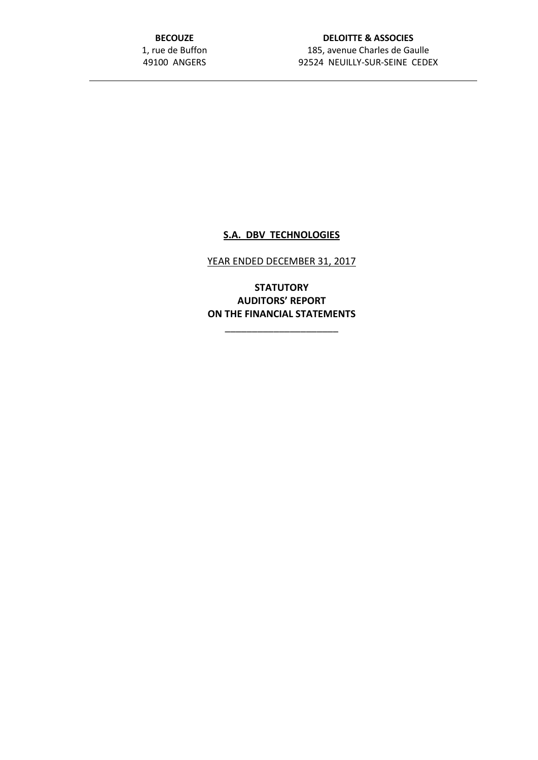**BECOUZE** 1, rue de Buffon 49100 ANGERS

# **DELOITTE & ASSOCIES** 185, avenue Charles de Gaulle 92524 NEUILLY-SUR-SEINE CEDEX

# **S.A. DBV TECHNOLOGIES**

YEAR ENDED DECEMBER 31, 2017

**STATUTORY AUDITORS' REPORT ON THE FINANCIAL STATEMENTS**

\_\_\_\_\_\_\_\_\_\_\_\_\_\_\_\_\_\_\_\_\_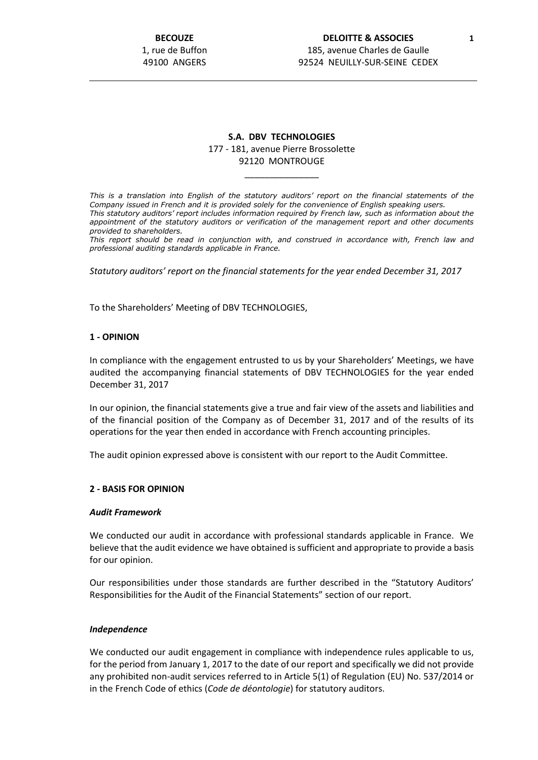**BECOUZE** 1, rue de Buffon 49100 ANGERS

### **DELOITTE & ASSOCIES 1** 185, avenue Charles de Gaulle 92524 NEUILLY-SUR-SEINE CEDEX

## **S.A. DBV TECHNOLOGIES** 177 - 181, avenue Pierre Brossolette 92120 MONTROUGE

\_\_\_\_\_\_\_\_\_\_\_\_\_\_\_

*This is a translation into English of the statutory auditors' report on the financial statements of the Company issued in French and it is provided solely for the convenience of English speaking users. This statutory auditors' report includes information required by French law, such as information about the appointment of the statutory auditors or verification of the management report and other documents provided to shareholders.*

*This report should be read in conjunction with, and construed in accordance with, French law and professional auditing standards applicable in France.*

*Statutory auditors' report on the financial statements for the year ended December 31, 2017*

To the Shareholders' Meeting of DBV TECHNOLOGIES,

#### **1 - OPINION**

In compliance with the engagement entrusted to us by your Shareholders' Meetings, we have audited the accompanying financial statements of DBV TECHNOLOGIES for the year ended December 31, 2017

In our opinion, the financial statements give a true and fair view of the assets and liabilities and of the financial position of the Company as of December 31, 2017 and of the results of its operations for the year then ended in accordance with French accounting principles.

The audit opinion expressed above is consistent with our report to the Audit Committee.

#### **2 - BASIS FOR OPINION**

#### *Audit Framework*

We conducted our audit in accordance with professional standards applicable in France. We believe that the audit evidence we have obtained is sufficient and appropriate to provide a basis for our opinion.

Our responsibilities under those standards are further described in the "Statutory Auditors' Responsibilities for the Audit of the Financial Statements" section of our report.

#### *Independence*

We conducted our audit engagement in compliance with independence rules applicable to us, for the period from January 1, 2017 to the date of our report and specifically we did not provide any prohibited non-audit services referred to in Article 5(1) of Regulation (EU) No. 537/2014 or in the French Code of ethics (*Code de déontologie*) for statutory auditors.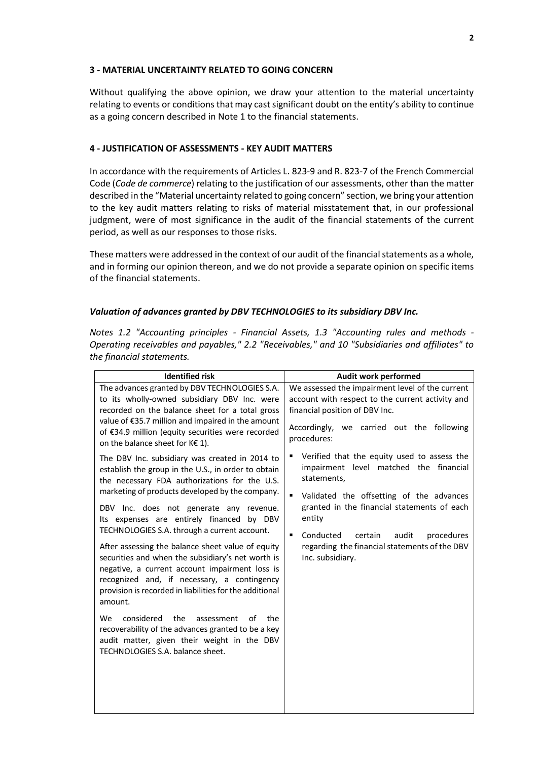### **3 - MATERIAL UNCERTAINTY RELATED TO GOING CONCERN**

Without qualifying the above opinion, we draw your attention to the material uncertainty relating to events or conditions that may cast significant doubt on the entity's ability to continue as a going concern described in Note 1 to the financial statements.

## **4 - JUSTIFICATION OF ASSESSMENTS - KEY AUDIT MATTERS**

In accordance with the requirements of Articles L. 823-9 and R. 823-7 of the French Commercial Code (*Code de commerce*) relating to the justification of our assessments, other than the matter described in the "Material uncertainty related to going concern" section, we bring your attention to the key audit matters relating to risks of material misstatement that, in our professional judgment, were of most significance in the audit of the financial statements of the current period, as well as our responses to those risks.

These matters were addressed in the context of our audit of the financial statements as a whole, and in forming our opinion thereon, and we do not provide a separate opinion on specific items of the financial statements.

#### *Valuation of advances granted by DBV TECHNOLOGIES to its subsidiary DBV Inc.*

*Notes 1.2 "Accounting principles - Financial Assets, 1.3 "Accounting rules and methods - Operating receivables and payables," 2.2 "Receivables," and 10 "Subsidiaries and affiliates" to the financial statements.*

| <b>Identified risk</b>                                                                                                                                                                                                                                                                                                                                                                                                                                                                                                                                                                                                                                                                                                                                                                                                            | Audit work performed                                                                                                                                                                                                                                                                                                                                              |
|-----------------------------------------------------------------------------------------------------------------------------------------------------------------------------------------------------------------------------------------------------------------------------------------------------------------------------------------------------------------------------------------------------------------------------------------------------------------------------------------------------------------------------------------------------------------------------------------------------------------------------------------------------------------------------------------------------------------------------------------------------------------------------------------------------------------------------------|-------------------------------------------------------------------------------------------------------------------------------------------------------------------------------------------------------------------------------------------------------------------------------------------------------------------------------------------------------------------|
| The advances granted by DBV TECHNOLOGIES S.A.<br>to its wholly-owned subsidiary DBV Inc. were<br>recorded on the balance sheet for a total gross<br>value of €35.7 million and impaired in the amount<br>of €34.9 million (equity securities were recorded<br>on the balance sheet for K€ 1).                                                                                                                                                                                                                                                                                                                                                                                                                                                                                                                                     | We assessed the impairment level of the current<br>account with respect to the current activity and<br>financial position of DBV Inc.<br>Accordingly, we carried out the following<br>procedures:                                                                                                                                                                 |
| The DBV Inc. subsidiary was created in 2014 to<br>establish the group in the U.S., in order to obtain<br>the necessary FDA authorizations for the U.S.<br>marketing of products developed by the company.<br>DBV Inc. does not generate any revenue.<br>Its expenses are entirely financed by DBV<br>TECHNOLOGIES S.A. through a current account.<br>After assessing the balance sheet value of equity<br>securities and when the subsidiary's net worth is<br>negative, a current account impairment loss is<br>recognized and, if necessary, a contingency<br>provision is recorded in liabilities for the additional<br>amount.<br>considered<br>the<br>the<br>We<br>assessment<br>οf<br>recoverability of the advances granted to be a key<br>audit matter, given their weight in the DBV<br>TECHNOLOGIES S.A. balance sheet. | Verified that the equity used to assess the<br>impairment level matched the financial<br>statements,<br>$\blacksquare$<br>Validated the offsetting of the advances<br>granted in the financial statements of each<br>entity<br>Conducted<br>audit<br>$\blacksquare$<br>certain<br>procedures<br>regarding the financial statements of the DBV<br>Inc. subsidiary. |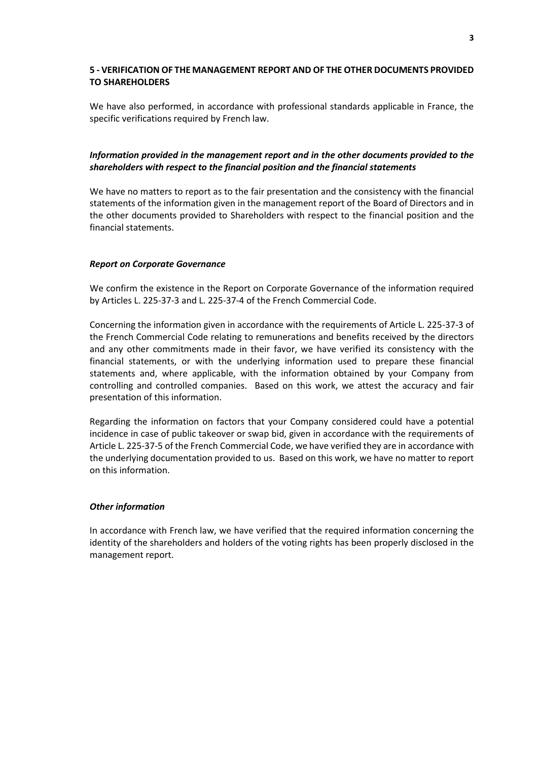### **5 - VERIFICATION OF THE MANAGEMENT REPORT AND OF THE OTHER DOCUMENTS PROVIDED TO SHAREHOLDERS**

We have also performed, in accordance with professional standards applicable in France, the specific verifications required by French law.

## *Information provided in the management report and in the other documents provided to the shareholders with respect to the financial position and the financial statements*

We have no matters to report as to the fair presentation and the consistency with the financial statements of the information given in the management report of the Board of Directors and in the other documents provided to Shareholders with respect to the financial position and the financial statements.

### *Report on Corporate Governance*

We confirm the existence in the Report on Corporate Governance of the information required by Articles L. 225-37-3 and L. 225-37-4 of the French Commercial Code.

Concerning the information given in accordance with the requirements of Article L. 225-37-3 of the French Commercial Code relating to remunerations and benefits received by the directors and any other commitments made in their favor, we have verified its consistency with the financial statements, or with the underlying information used to prepare these financial statements and, where applicable, with the information obtained by your Company from controlling and controlled companies. Based on this work, we attest the accuracy and fair presentation of this information.

Regarding the information on factors that your Company considered could have a potential incidence in case of public takeover or swap bid, given in accordance with the requirements of Article L. 225-37-5 of the French Commercial Code, we have verified they are in accordance with the underlying documentation provided to us. Based on this work, we have no matter to report on this information.

#### *Other information*

In accordance with French law, we have verified that the required information concerning the identity of the shareholders and holders of the voting rights has been properly disclosed in the management report.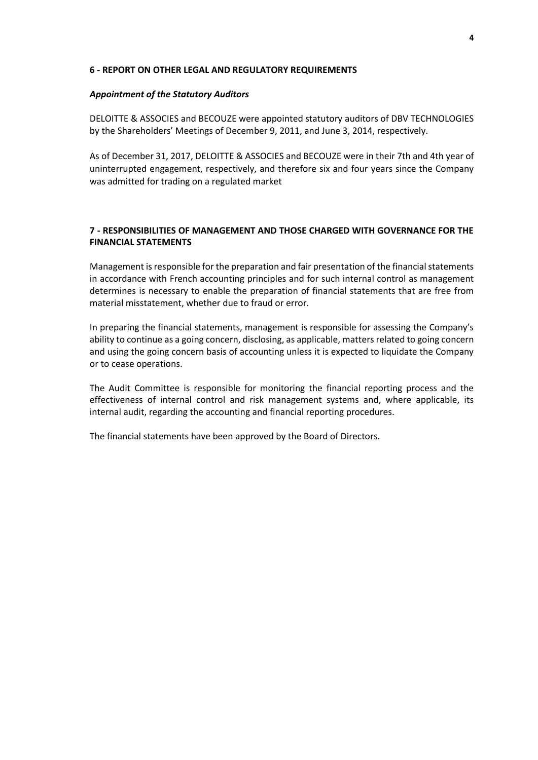### **6 - REPORT ON OTHER LEGAL AND REGULATORY REQUIREMENTS**

### *Appointment of the Statutory Auditors*

DELOITTE & ASSOCIES and BECOUZE were appointed statutory auditors of DBV TECHNOLOGIES by the Shareholders' Meetings of December 9, 2011, and June 3, 2014, respectively.

As of December 31, 2017, DELOITTE & ASSOCIES and BECOUZE were in their 7th and 4th year of uninterrupted engagement, respectively, and therefore six and four years since the Company was admitted for trading on a regulated market

# **7 - RESPONSIBILITIES OF MANAGEMENT AND THOSE CHARGED WITH GOVERNANCE FOR THE FINANCIAL STATEMENTS**

Management is responsible for the preparation and fair presentation of the financial statements in accordance with French accounting principles and for such internal control as management determines is necessary to enable the preparation of financial statements that are free from material misstatement, whether due to fraud or error.

In preparing the financial statements, management is responsible for assessing the Company's ability to continue as a going concern, disclosing, as applicable, matters related to going concern and using the going concern basis of accounting unless it is expected to liquidate the Company or to cease operations.

The Audit Committee is responsible for monitoring the financial reporting process and the effectiveness of internal control and risk management systems and, where applicable, its internal audit, regarding the accounting and financial reporting procedures.

The financial statements have been approved by the Board of Directors.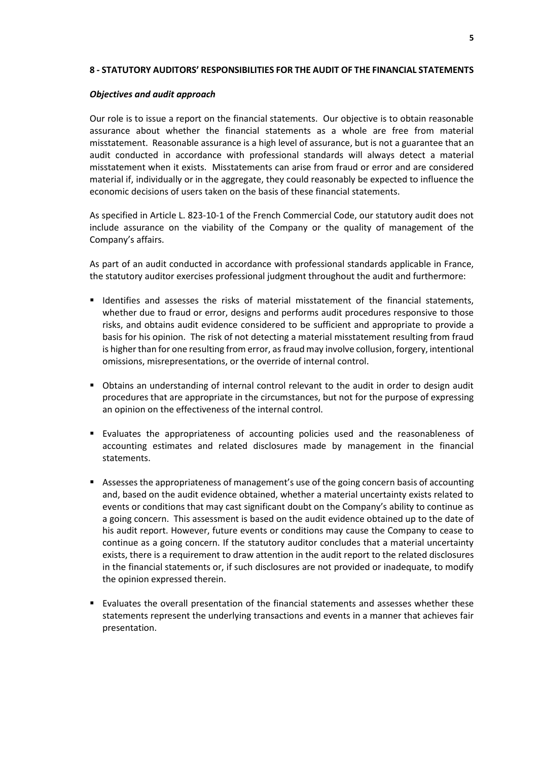### **8 - STATUTORY AUDITORS' RESPONSIBILITIES FOR THE AUDIT OF THE FINANCIAL STATEMENTS**

### *Objectives and audit approach*

Our role is to issue a report on the financial statements. Our objective is to obtain reasonable assurance about whether the financial statements as a whole are free from material misstatement. Reasonable assurance is a high level of assurance, but is not a guarantee that an audit conducted in accordance with professional standards will always detect a material misstatement when it exists. Misstatements can arise from fraud or error and are considered material if, individually or in the aggregate, they could reasonably be expected to influence the economic decisions of users taken on the basis of these financial statements.

As specified in Article L. 823-10-1 of the French Commercial Code, our statutory audit does not include assurance on the viability of the Company or the quality of management of the Company's affairs.

As part of an audit conducted in accordance with professional standards applicable in France, the statutory auditor exercises professional judgment throughout the audit and furthermore:

- Identifies and assesses the risks of material misstatement of the financial statements, whether due to fraud or error, designs and performs audit procedures responsive to those risks, and obtains audit evidence considered to be sufficient and appropriate to provide a basis for his opinion. The risk of not detecting a material misstatement resulting from fraud is higher than for one resulting from error, as fraud may involve collusion, forgery, intentional omissions, misrepresentations, or the override of internal control.
- Obtains an understanding of internal control relevant to the audit in order to design audit procedures that are appropriate in the circumstances, but not for the purpose of expressing an opinion on the effectiveness of the internal control.
- Evaluates the appropriateness of accounting policies used and the reasonableness of accounting estimates and related disclosures made by management in the financial statements.
- Assesses the appropriateness of management's use of the going concern basis of accounting and, based on the audit evidence obtained, whether a material uncertainty exists related to events or conditions that may cast significant doubt on the Company's ability to continue as a going concern. This assessment is based on the audit evidence obtained up to the date of his audit report. However, future events or conditions may cause the Company to cease to continue as a going concern. If the statutory auditor concludes that a material uncertainty exists, there is a requirement to draw attention in the audit report to the related disclosures in the financial statements or, if such disclosures are not provided or inadequate, to modify the opinion expressed therein.
- Evaluates the overall presentation of the financial statements and assesses whether these statements represent the underlying transactions and events in a manner that achieves fair presentation.